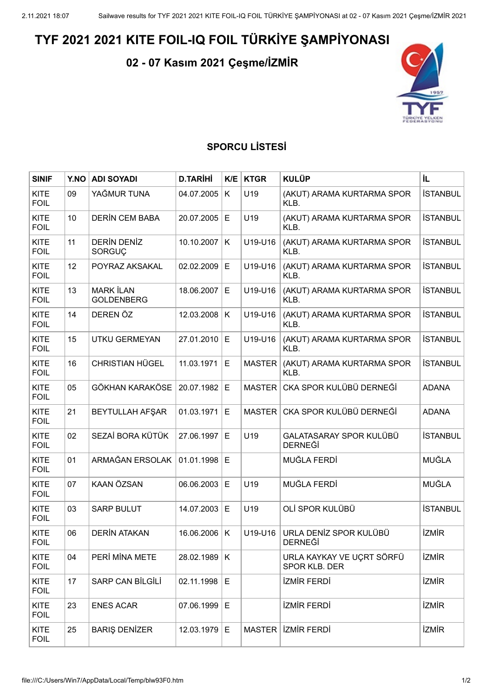## **TYF 2021 2021 KITE FOIL-IQ FOIL TÜRKİYE ŞAMPİYONASI**

**02 - 07 Kasım 2021 Çeşme/İZMİR**



## **SPORCU LİSTESİ**

| <b>SINIF</b>               | Y.NO | <b>ADI SOYADI</b>                     | <b>D.TARİHİ</b> | K/E | <b>KTGR</b>   | <b>KULÜP</b>                               | İL              |
|----------------------------|------|---------------------------------------|-----------------|-----|---------------|--------------------------------------------|-----------------|
| <b>KITE</b><br><b>FOIL</b> | 09   | YAĞMUR TUNA                           | 04.07.2005      | K   | U19           | (AKUT) ARAMA KURTARMA SPOR<br>KLB.         | <b>İSTANBUL</b> |
| <b>KITE</b><br><b>FOIL</b> | 10   | <b>DERIN CEM BABA</b>                 | 20.07.2005      | Е   | U19           | (AKUT) ARAMA KURTARMA SPOR<br>KLB.         | <b>İSTANBUL</b> |
| <b>KITE</b><br><b>FOIL</b> | 11   | DERÍN DENÍZ<br>SORGUÇ                 | 10.10.2007      | K   | U19-U16       | (AKUT) ARAMA KURTARMA SPOR<br>KLB.         | <b>İSTANBUL</b> |
| <b>KITE</b><br><b>FOIL</b> | 12   | POYRAZ AKSAKAL                        | 02.02.2009      | E   | U19-U16       | (AKUT) ARAMA KURTARMA SPOR<br>KLB.         | <b>İSTANBUL</b> |
| <b>KITE</b><br><b>FOIL</b> | 13   | <b>MARK İLAN</b><br><b>GOLDENBERG</b> | 18.06.2007      | Е   | U19-U16       | (AKUT) ARAMA KURTARMA SPOR<br>KLB.         | <b>İSTANBUL</b> |
| <b>KITE</b><br><b>FOIL</b> | 14   | DEREN ÖZ                              | 12.03.2008      | K   | U19-U16       | (AKUT) ARAMA KURTARMA SPOR<br>KLB.         | <b>İSTANBUL</b> |
| <b>KITE</b><br><b>FOIL</b> | 15   | <b>UTKU GERMEYAN</b>                  | 27.01.2010      | E   | U19-U16       | (AKUT) ARAMA KURTARMA SPOR<br>KLB.         | <b>İSTANBUL</b> |
| <b>KITE</b><br><b>FOIL</b> | 16   | <b>CHRISTIAN HÜGEL</b>                | 11.03.1971      | E   | <b>MASTER</b> | (AKUT) ARAMA KURTARMA SPOR<br>KLB.         | <b>İSTANBUL</b> |
| <b>KITE</b><br><b>FOIL</b> | 05   | <b>GÖKHAN KARAKÖSE</b>                | 20.07.1982      | E   | <b>MASTER</b> | CKA SPOR KULÜBÜ DERNEĞİ                    | <b>ADANA</b>    |
| <b>KITE</b><br><b>FOIL</b> | 21   | <b>BEYTULLAH AFŞAR</b>                | 01.03.1971      | Е   | <b>MASTER</b> | CKA SPOR KULÜBÜ DERNEĞİ                    | <b>ADANA</b>    |
| <b>KITE</b><br><b>FOIL</b> | 02   | SEZAİ BORA KÜTÜK                      | 27.06.1997      | Е   | U19           | GALATASARAY SPOR KULÜBÜ<br><b>DERNEĞİ</b>  | <b>İSTANBUL</b> |
| <b>KITE</b><br><b>FOIL</b> | 01   | ARMAĞAN ERSOLAK                       | 01.01.1998      | E   |               | MUĞLA FERDİ                                | MUĞLA           |
| <b>KITE</b><br><b>FOIL</b> | 07   | <b>KAAN ÖZSAN</b>                     | 06.06.2003      | E   | U19           | MUĞLA FERDİ                                | MUĞLA           |
| <b>KITE</b><br><b>FOIL</b> | 03   | <b>SARP BULUT</b>                     | 14.07.2003      | Е   | U19           | OLİ SPOR KULÜBÜ                            | <b>İSTANBUL</b> |
| <b>KITE</b><br>FOIL        | 06   | <b>DERIN ATAKAN</b>                   | 16.06.2006      | K   | U19-U16       | URLA DENİZ SPOR KULÜBÜ<br><b>DERNEGI</b>   | <b>İZMİR</b>    |
| <b>KITE</b><br><b>FOIL</b> | 04   | PERİ MİNA METE                        | 28.02.1989      | K   |               | URLA KAYKAY VE UÇRT SÖRFÜ<br>SPOR KLB. DER | <b>İZMİR</b>    |
| KITE<br><b>FOIL</b>        | 17   | SARP CAN BİLGİLİ                      | 02.11.1998      | E   |               | <b>İZMİR FERDİ</b>                         | <b>İZMİR</b>    |
| KITE<br><b>FOIL</b>        | 23   | <b>ENES ACAR</b>                      | 07.06.1999      | E   |               | <b>İZMİR FERDİ</b>                         | <b>İZMİR</b>    |
| <b>KITE</b><br><b>FOIL</b> | 25   | <b>BARIŞ DENİZER</b>                  | 12.03.1979      | E   | <b>MASTER</b> | <b>İZMİR FERDİ</b>                         | <b>İZMİR</b>    |